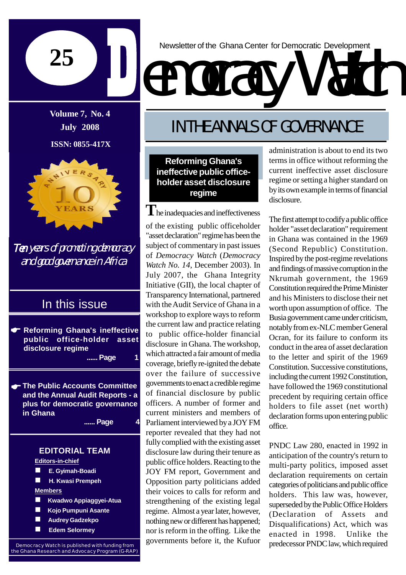

**Volume 7, No. 4 July 2008**

**ISSN: 0855-417X**



Ten years of promoting democracy and good governance in Africa

## In this issue

**Reforming Ghana's ineffective public office-holder asset disclosure regime ...... Page 1**

**The Public Accounts Committee and the Annual Audit Reports - a plus for democratic governance in Ghana**

**...... Page 4**

### **EDITORIAL TEAM**

**Editors-in-chief**

- **E. Gyimah-Boadi**
- **H. Kwasi Prempeh**

**Members**

- **Kwadwo Appiaggyei-Atua**
- **Kojo Pumpuni Asante**
- **Audrey Gadzekpo**
- **Edem Selormey**

Newsletter of the Ghana Center for Democratic Development

# emocracy

# IN THE ANNALS OF GOVERNANCE

**Reforming Ghana's ineffective public officeholder asset disclosure regime**

 $\mathbf{T}$ he inadequacies and ineffectiveness of the existing public officeholder "asset declaration" regime has been the subject of commentary in past issues of *Democracy Watch* (*Democracy Watch No. 14*, December 2003). In July 2007, the Ghana Integrity Initiative (GII), the local chapter of Transparency International, partnered with the Audit Service of Ghana in a workshop to explore ways to reform the current law and practice relating to public office-holder financial disclosure in Ghana. The workshop, which attracted afair amount of media coverage, brieflyre-ignited the debate over the failure of successive governments to enact a credible regime of financial disclosure by public officers. A number of former and current ministers and members of Parliament interviewed bya JOY FM reporter revealed that they had not fullycomplied with the existing asset disclosure law during their tenure as public office holders. Reacting to the JOY FM report, Government and Opposition party politicians added their voices to calls for reform and strengthening of the existing legal regime. Almost a year later, however, nothing new or different has happened; nor is reform in the offing. Like the governments before it, the Kufuor

administration is about to end its two terms in office without reforming the current ineffective asset disclosure regime or setting a higher standard on by its own example in terms of financial disclosure.

The first attempt to codify a public office holder "asset declaration" requirement in Ghana was contained in the 1969 (Second Republic) Constitution. Inspired bythe post-regime revelations and findings of massive corruption in the Nkrumah government, the 1969 Constitution required the Prime Minister and his Ministers to disclose their net worth upon assumption of office. The Busia government came under criticism, notably from ex-NLC member General Ocran, for its failure to conform its conduct in the area of asset declaration to the letter and spirit of the 1969 Constitution. Successive constitutions, including the current 1992 Constitution. have followed the 1969 constitutional precedent by requiring certain office holders to file asset (net worth) declaration forms upon entering public office.

PNDC Law 280, enacted in 1992 in anticipation of the country's return to multi-party politics, imposed asset declaration requirements on certain categories of politicians and public office holders. This law was, however, superseded by the Public Office Holders (Declaration of Assets and Disqualifications) Act, which was enacted in 1998. Unlike the predecessor PNDClaw, which required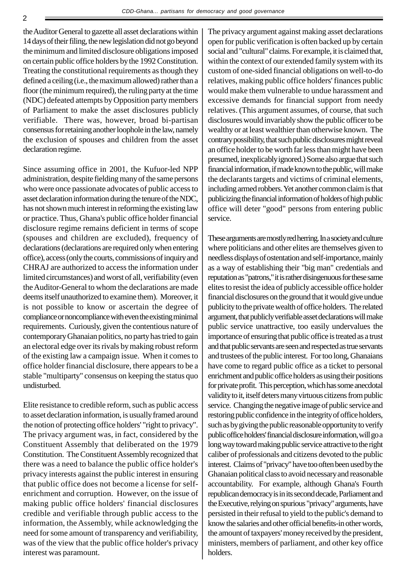theAuditor General to gazette all asset declarations within 14 days of their filing, the new legislation didnot go beyond the minimum and limited disclosure obligations imposed on certain public office holders bythe 1992 Constitution. Treating the constitutional requirements as though they defined a ceiling(i.e., the maximum allowed) rather than a floor (the minimum required), the ruling partyat the time (NDC) defeated attempts by Opposition party members of Parliament to make the asset disclosures publicly verifiable. There was, however, broad bi-partisan consensus for retaining another loophole in the law, namely the exclusion of spouses and children from the asset declaration regime.

Since assuming office in 2001, the Kufuor-led NPP administration, despite fielding manyof the same persons who were once passionate advocates of public access to asset declaration information during the tenure of the NDC, has not shown much interest in reforming the existing law or practice. Thus, Ghana's public office holder financial disclosure regime remains deficient in terms of scope (spouses and children are excluded), frequency of declarations (declarations are required onlywhen entering office), access(onlythe courts, commissionsofinquiryand CHRAJ are authorized to access the information under limited circumstances) and worst of all, verifiability(even theAuditor-General to whom the declarations are made deems itself unauthorized to examine them). Moreover, it is not possible to know or ascertain the degree of compliance or noncompliance with even the existing minimal requirements. Curiously, given the contentious nature of contemporaryGhanaian politics, no partyhas tried to gain an electoral edge over its rivals bymaking robust reform of the existing law a campaign issue. When it comes to office holder financial disclosure, there appears to be a stable "multiparty" consensus on keeping the status quo undisturbed.

Elite resistance to credible reform, such as public access to asset declaration information, is usually framed around the notion of protecting office holders' "right to privacy". The privacy argument was, in fact, considered by the Constituent Assembly that deliberated on the 1979 Constitution. The Constituent Assembly recognized that there was a need to balance the public office holder's privacy interests against the public interest in ensuring that public office does not become a license for selfenrichment and corruption. However, on the issue of making public office holders' financial disclosures credible and verifiable through public access to the information, the Assembly, while acknowledging the need for some amount of transparency and verifiability, was of the view that the public office holder's privacy interest was paramount.

The privacy argument against making asset declarations open for public verification is often backed up by certain social and "cultural" claims. For example, it is claimed that, within the context of our extended family system with its custom of one-sided financial obligations on well-to-do relatives, making public office holders' finances public would make them vulnerable to undue harassment and excessive demands for financial support from needy relatives. (This argument assumes, of course, that such disclosures would invariablyshow the public officer to be wealthy or at least wealthier than otherwise known. The contrary possibility, that such public disclosures might reveal an office holder to be worth far less than might have been presumed, inexplicably ignored.) Some also argue that such financial information, if made known to the public, will make the declarants targets and victims of criminal elements, including armed robbers. Yet another common claim is that publicizing the financial information of holders of high public office will deter "good" persons from entering public service.

These arguments are mostly red herring. In a society and culture where politicians and other elites are themselves given to needless displays of ostentation and self-importance, mainly as a way of establishing their "big man" credentials and reputation as "patrons," it is rather disingenuous for these same elites to resist the idea of publicly accessible office holder financial disclosures on the ground that it would give undue publicity to the private wealth of office holders. The related argument, that publicly verifiable asset declarations will make public service unattractive, too easily undervalues the importance of ensuring that public office is treated as a trust and that public servants are seen and respected as true servants and trustees of the public interest. For too long, Ghanaians have come to regard public office as a ticket to personal enrichment and public office holders as using their positions for private profit. This perception, which has some anecdotal validity to it, itself deters many virtuous citizens from public service. Changing the negative image of public service and restoring public confidence in the integrity of office holders, such as by giving the public reasonable opportunity to verify public office holders' financial disclosure information, will go a long way toward making public service attractive to the right caliber of professionals and citizens devoted to the public interest. Claims of "privacy" have too often been used by the Ghanaian political class to avoid necessaryand reasonable accountability. For example, although Ghana's Fourth republican democracy is in its second decade, Parliament and the Executive, relying on spurious "privacy" arguments, have persisted in their refusal to yield to the public's demand to know the salaries and other official benefits-in other words, the amount of taxpayers' money received by the president, ministers, members of parliament, and other key office holders.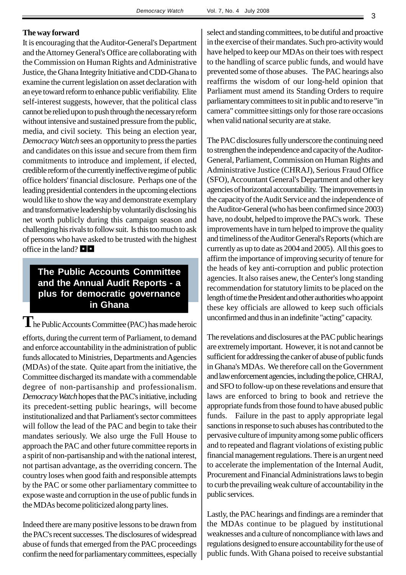#### **The way forward**

It is encouraging that the Auditor-General's Department and theAttorney General's Office are collaborating with the Commission on Human Rights and Administrative Justice, the Ghana Integrity Initiative and CDD-Ghana to examine the current legislation on asset declaration with an eye toward reform to enhance public verifiability. Elite self-interest suggests, however, that the political class cannot be relied upon to push through the necessary reform without intensive and sustained pressure from the public, media, and civil society. This being an election year, *Democracy Watch* sees an opportunity to press the parties and candidates on this issue and secure from them firm commitments to introduce and implement, if elected, credible reform of the currently ineffective regime of public office holders' financial disclosure. Perhaps one of the leading presidential contenders in the upcoming elections would like to show the way and demonstrate exemplary and transformative leadership by voluntarily disclosing his net worth publicly during this campaign season and challenging his rivals to follow suit. Is this too much to ask of persons who have asked to be trusted with the highest office in the land?  $\Box$ 

## **The Public Accounts Committee and the Annual Audit Reports - a plus for democratic governance in Ghana**

The Public Accounts Committee (PAC) has made heroic efforts, during the current term of Parliament, to demand and enforce accountability in the administration of public funds allocated to Ministries, Departments and Agencies (MDAs) of the state. Quite apart from the initiative, the Committee discharged its mandate with a commendable degree of non-partisanship and professionalism. **Democracy Watch hopes that the PAC's initiative, including** its precedent-setting public hearings, will become institutionalized and that Parliament's sector committees will follow the lead of the PAC and begin to take their mandates seriously. We also urge the Full House to approach the PAC and other future committee reports in a spirit of non-partisanship and with the national interest, not partisan advantage, as the overriding concern. The country loses when good faith and responsible attempts by the PAC or some other parliamentary committee to expose waste and corruption in the use of public funds in the MDAs become politicized along partylines.

Indeed there are many positive lessons to be drawn from the PAC's recent successes.The disclosures of widespread abuse of funds that emerged from the PAC proceedings confirm the need for parliamentary committees, especially

select and standing committees, to be dutiful and proactive in the exercise of their mandates. Such pro-activitywould have helped to keep our MDAs on their toes with respect to the handling of scarce public funds, and would have prevented some of those abuses. The PAC hearings also reaffirms the wisdom of our long-held opinion that Parliament must amend its Standing Orders to require parliamentary committees to sit in public and to reserve "in camera" committee sittings only for those rare occasions when valid national security are at stake.

The PAC disclosures fully underscore the continuing need to strengthen the independence and capacity of the Auditor-General, Parliament, Commission on Human Rights and Administrative Justice (CHRAJ), Serious Fraud Office (SFO),Accountant General's Department and other key agencies of horizontal accountability. The improvements in the capacity of the Audit Service and the independence of theAuditor-General (who has been confirmed since 2003) have, no doubt, helped to improve the PAC's work. These improvements have in turn helped to improve the quality and timeliness of theAuditor General's Reports (which are currently as up to date as 2004 and 2005). All this goes to affirm the importance of improving securityof tenure for the heads of key anti-corruption and public protection agencies. It also raises anew, the Center's long standing recommendation for statutory limits to be placed on the length of time the President and other authorities who appoint these key officials are allowed to keep such officials unconfirmed and thus in an indefinite "acting" capacity.

The revelations and disclosures at the PAC public hearings are extremelyimportant. However, it is not and cannot be sufficient for addressing the canker of abuse of public funds in Ghana's MDAs. We therefore call on the Government and law enforcement agencies, including the police, CHRAJ, and SFO to follow-up on these revelations and ensure that laws are enforced to bring to book and retrieve the appropriate funds from those found to have abused public funds. Failure in the past to apply appropriate legal sanctions in response to such abuses has contributed to the pervasive culture of impunityamong some public officers and to repeated and flagrant violations of existing public financial management regulations. There is an urgent need to accelerate the implementation of the Internal Audit, Procurement and Financial Administrations laws to begin to curb the prevailing weak culture of accountabilityin the public services.

Lastly, the PAC hearings and findings are a reminder that the MDAs continue to be plagued by institutional weaknesses and a culture of noncompliance with laws and regulations designed to ensure accountability for the use of public funds. With Ghana poised to receive substantial